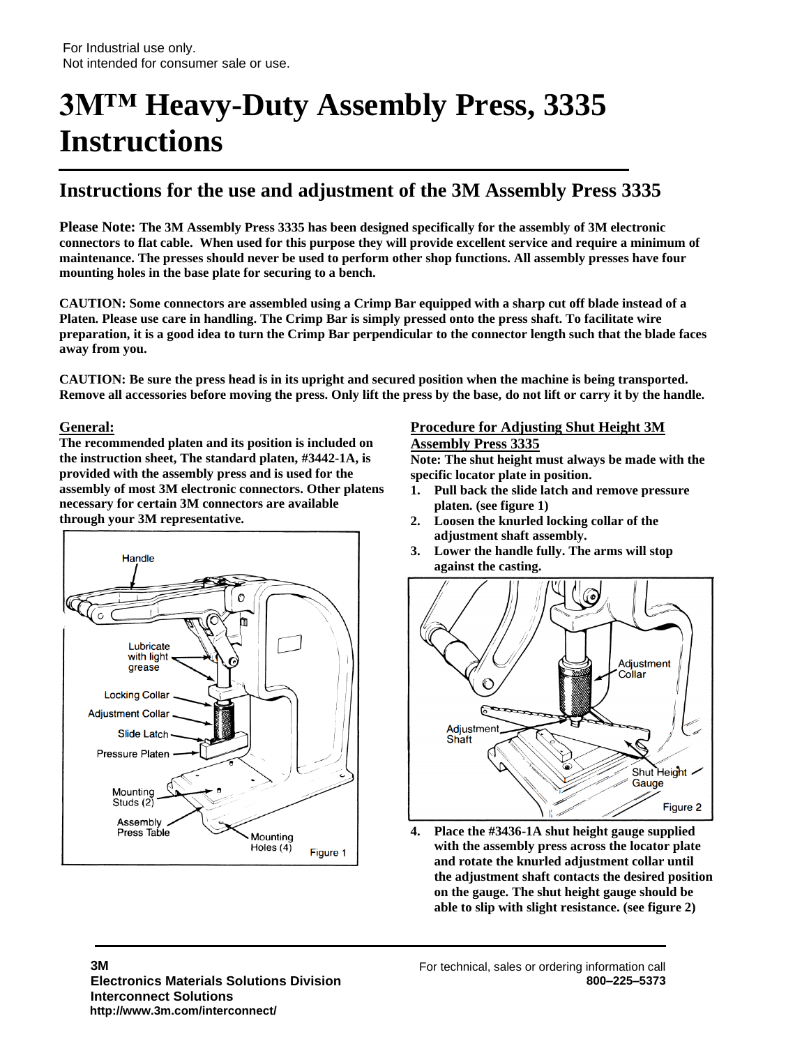# **3M™ Heavy-Duty Assembly Press, 3335 Instructions**  $\overline{\phantom{0}}$

### **Instructions for the use and adjustment of the 3M Assembly Press 3335**

**Please Note: The 3M Assembly Press 3335 has been designed specifically for the assembly of 3M electronic connectors to flat cable. When used for this purpose they will provide excellent service and require a minimum of maintenance. The presses should never be used to perform other shop functions. All assembly presses have four mounting holes in the base plate for securing to a bench.**

**CAUTION: Some connectors are assembled using a Crimp Bar equipped with a sharp cut off blade instead of a Platen. Please use care in handling. The Crimp Bar is simply pressed onto the press shaft. To facilitate wire preparation, it is a good idea to turn the Crimp Bar perpendicular to the connector length such that the blade faces away from you.**

**CAUTION: Be sure the press head is in its upright and secured position when the machine is being transported. Remove all accessories before moving the press. Only lift the press by the base, do not lift or carry it by the handle.**

#### **General:**

**The recommended platen and its position is included on the instruction sheet, The standard platen, #3442-1A, is provided with the assembly press and is used for the assembly of most 3M electronic connectors. Other platens necessary for certain 3M connectors are available through your 3M representative.**



#### **Procedure for Adjusting Shut Height 3M Assembly Press 3335**

**Note: The shut height must always be made with the specific locator plate in position.**

- **1. Pull back the slide latch and remove pressure platen. (see figure 1)**
- **2. Loosen the knurled locking collar of the adjustment shaft assembly.**
- **3. Lower the handle fully. The arms will stop against the casting.**



**4. Place the #3436-1A shut height gauge supplied with the assembly press across the locator plate and rotate the knurled adjustment collar until the adjustment shaft contacts the desired position on the gauge. The shut height gauge should be able to slip with slight resistance. (see figure 2)**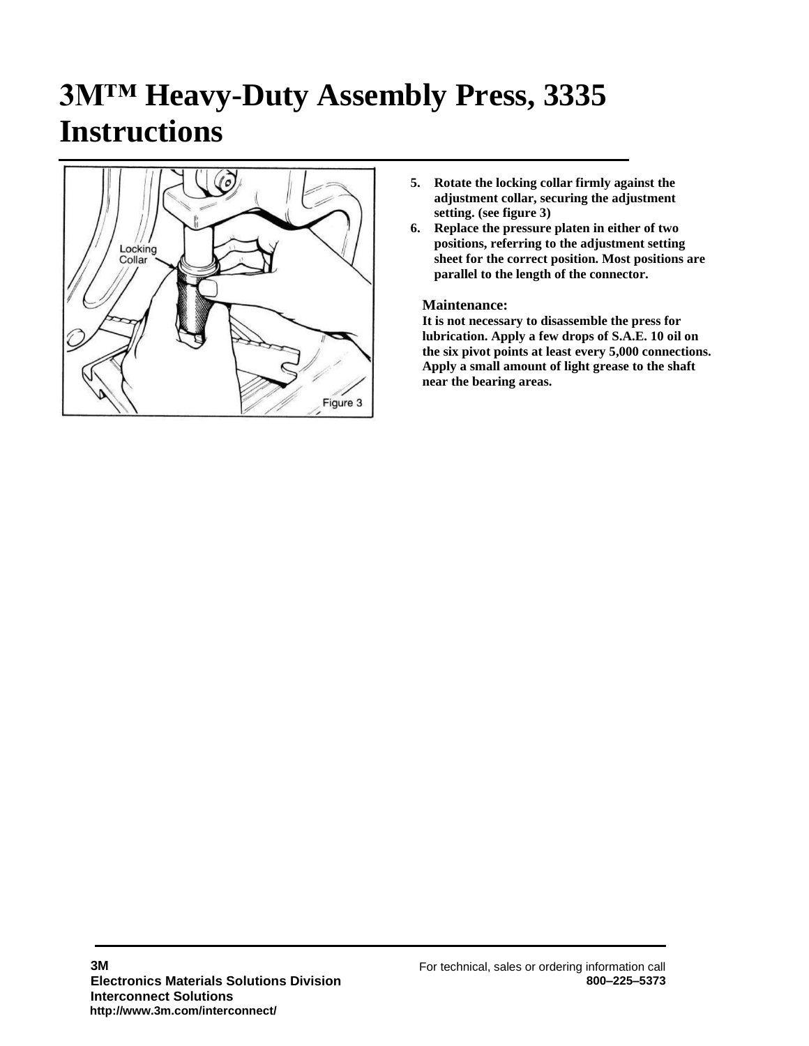# **3M™ Heavy-Duty Assembly Press, 3335 Instructions**



- **5. Rotate the locking collar firmly against the adjustment collar, securing the adjustment setting. (see figure 3)**
- **6. Replace the pressure platen in either of two positions, referring to the adjustment setting sheet for the correct position. Most positions are parallel to the length of the connector.**

#### **Maintenance:**

**It is not necessary to disassemble the press for lubrication. Apply a few drops of S.A.E. 10 oil on the six pivot points at least every 5,000 connections. Apply a small amount of light grease to the shaft near the bearing areas.**